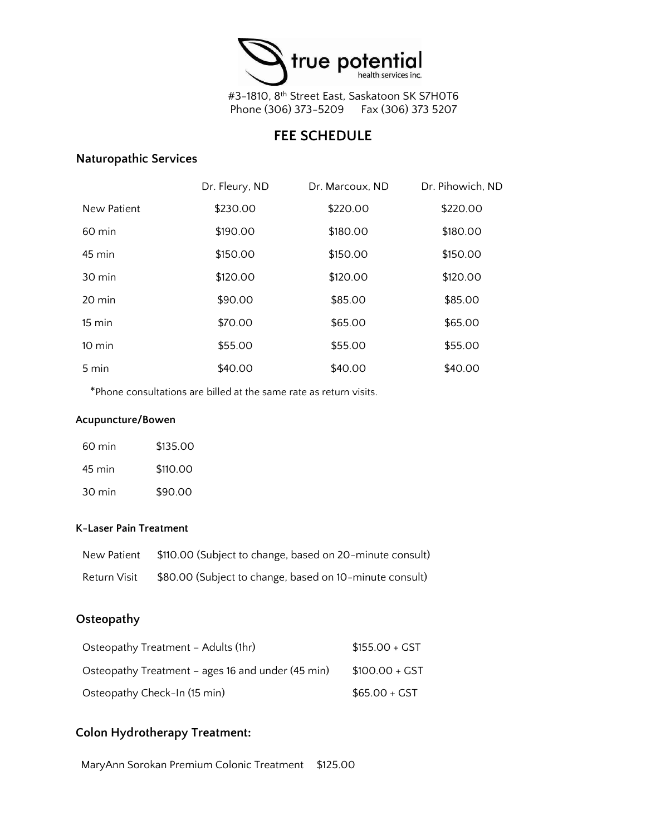

#3-1810, 8th Street East, Saskatoon SK S7H0T6 Phone (306) 373-5209 Fax (306) 373 5207

## **FEE SCHEDULE**

### **Naturopathic Services**

|                  | Dr. Fleury, ND | Dr. Marcoux, ND | Dr. Pihowich, ND |
|------------------|----------------|-----------------|------------------|
| New Patient      | \$230.00       | \$220.00        | \$220.00         |
| $60 \text{ min}$ | \$190.00       | \$180.00        | \$180.00         |
| $45 \text{ min}$ | \$150.00       | \$150.00        | \$150.00         |
| 30 min           | \$120.00       | \$120.00        | \$120.00         |
| 20 min           | \$90.00        | \$85.00         | \$85.00          |
| 15 min           | \$70.00        | \$65.00         | \$65.00          |
| $10 \text{ min}$ | \$55.00        | \$55.00         | \$55.00          |
| 5 min            | \$40.00        | \$40.00         | \$40.00          |

\*Phone consultations are billed at the same rate as return visits.

#### **Acupuncture/Bowen**

| $60 \text{ min}$ | \$135.00 |
|------------------|----------|
| 45 min           | \$110.00 |
| 30 min           | \$90.00  |

#### **K-Laser Pain Treatment**

| New Patient  | \$110.00 (Subject to change, based on 20-minute consult) |
|--------------|----------------------------------------------------------|
| Return Visit | \$80.00 (Subject to change, based on 10-minute consult)  |

### **Osteopathy**

| Osteopathy Treatment - Adults (1hr)               | $$155.00 + GST$ |
|---------------------------------------------------|-----------------|
| Osteopathy Treatment – ages 16 and under (45 min) | $$100.00 + GST$ |
| Osteopathy Check-In (15 min)                      | $$65.00 + GST$  |

## **Colon Hydrotherapy Treatment:**

MaryAnn Sorokan Premium Colonic Treatment \$125.00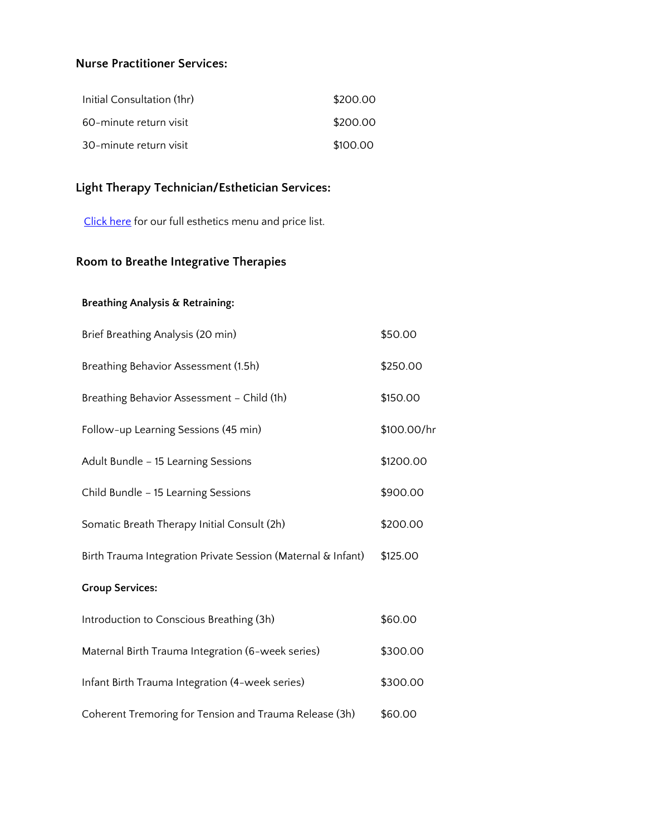### **Nurse Practitioner Services:**

| Initial Consultation (1hr) | \$200.00 |
|----------------------------|----------|
| 60-minute return visit     | \$200.00 |
| 30-minute return visit     | \$100.00 |

## **Light Therapy Technician/Esthetician Services:**

[Click here](https://truepotentialhealth.com/wp-content/uploads/2022/05/BeYou-Menu.pdf) for our full esthetics menu and price list.

# **Room to Breathe Integrative Therapies**

#### **Breathing Analysis & Retraining:**

| Brief Breathing Analysis (20 min)                            | \$50.00     |
|--------------------------------------------------------------|-------------|
| Breathing Behavior Assessment (1.5h)                         | \$250.00    |
| Breathing Behavior Assessment - Child (1h)                   | \$150.00    |
| Follow-up Learning Sessions (45 min)                         | \$100.00/hr |
| Adult Bundle - 15 Learning Sessions                          | \$1200.00   |
| Child Bundle - 15 Learning Sessions                          | \$900.00    |
| Somatic Breath Therapy Initial Consult (2h)                  | \$200.00    |
| Birth Trauma Integration Private Session (Maternal & Infant) | \$125.00    |
| <b>Group Services:</b>                                       |             |
| Introduction to Conscious Breathing (3h)                     | \$60.00     |
| Maternal Birth Trauma Integration (6-week series)            | \$300.00    |
| Infant Birth Trauma Integration (4-week series)              | \$300.00    |
| Coherent Tremoring for Tension and Trauma Release (3h)       | \$60.00     |